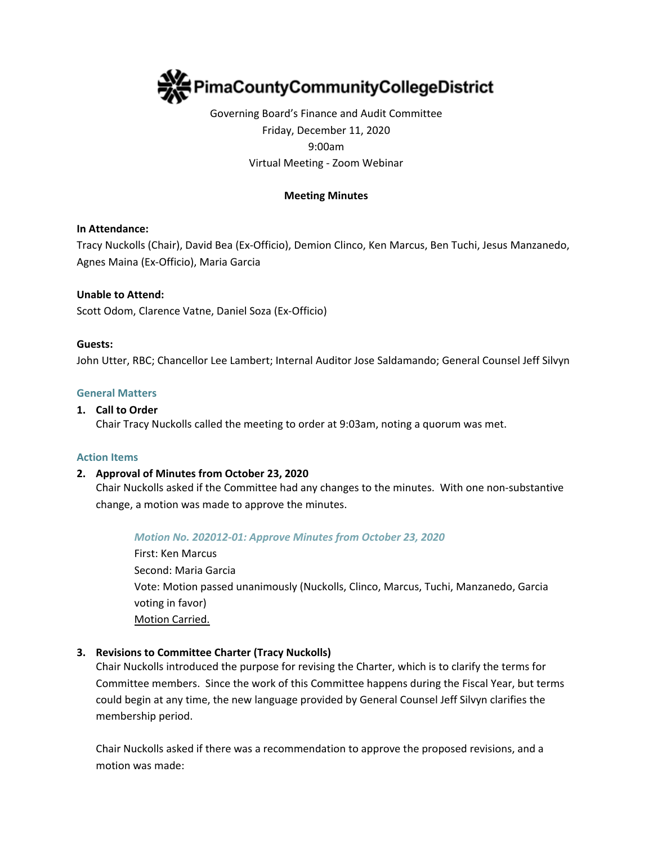

# Governing Board's Finance and Audit Committee Friday, December 11, 2020 9:00am Virtual Meeting - Zoom Webinar

# **Meeting Minutes**

# **In Attendance:**

Tracy Nuckolls (Chair), David Bea (Ex-Officio), Demion Clinco, Ken Marcus, Ben Tuchi, Jesus Manzanedo, Agnes Maina (Ex-Officio), Maria Garcia

# **Unable to Attend:**

Scott Odom, Clarence Vatne, Daniel Soza (Ex-Officio)

#### **Guests:**

John Utter, RBC; Chancellor Lee Lambert; Internal Auditor Jose Saldamando; General Counsel Jeff Silvyn

#### **General Matters**

#### **1. Call to Order**

Chair Tracy Nuckolls called the meeting to order at 9:03am, noting a quorum was met.

#### **Action Items**

# **2. Approval of Minutes from October 23, 2020**

Chair Nuckolls asked if the Committee had any changes to the minutes. With one non-substantive change, a motion was made to approve the minutes.

#### *Motion No. 202012-01: Approve Minutes from October 23, 2020*

First: Ken Marcus Second: Maria Garcia Vote: Motion passed unanimously (Nuckolls, Clinco, Marcus, Tuchi, Manzanedo, Garcia voting in favor) Motion Carried.

# **3. Revisions to Committee Charter (Tracy Nuckolls)**

Chair Nuckolls introduced the purpose for revising the Charter, which is to clarify the terms for Committee members. Since the work of this Committee happens during the Fiscal Year, but terms could begin at any time, the new language provided by General Counsel Jeff Silvyn clarifies the membership period.

Chair Nuckolls asked if there was a recommendation to approve the proposed revisions, and a motion was made: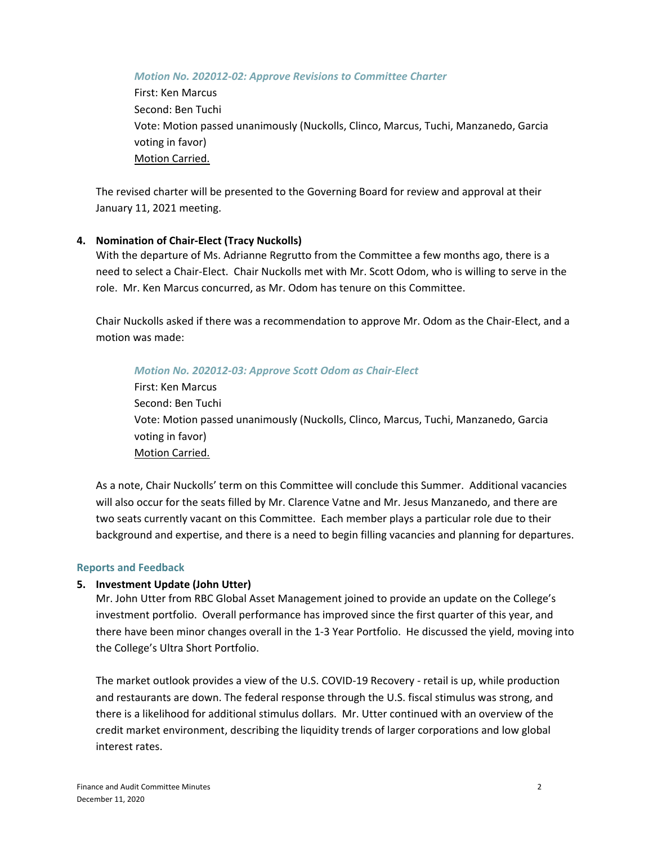*Motion No. 202012-02: Approve Revisions to Committee Charter*

First: Ken Marcus Second: Ben Tuchi Vote: Motion passed unanimously (Nuckolls, Clinco, Marcus, Tuchi, Manzanedo, Garcia voting in favor) Motion Carried.

The revised charter will be presented to the Governing Board for review and approval at their January 11, 2021 meeting.

#### **4. Nomination of Chair-Elect (Tracy Nuckolls)**

With the departure of Ms. Adrianne Regrutto from the Committee a few months ago, there is a need to select a Chair-Elect. Chair Nuckolls met with Mr. Scott Odom, who is willing to serve in the role. Mr. Ken Marcus concurred, as Mr. Odom has tenure on this Committee.

Chair Nuckolls asked if there was a recommendation to approve Mr. Odom as the Chair-Elect, and a motion was made:

#### *Motion No. 202012-03: Approve Scott Odom as Chair-Elect*

First: Ken Marcus Second: Ben Tuchi Vote: Motion passed unanimously (Nuckolls, Clinco, Marcus, Tuchi, Manzanedo, Garcia voting in favor) Motion Carried.

As a note, Chair Nuckolls' term on this Committee will conclude this Summer. Additional vacancies will also occur for the seats filled by Mr. Clarence Vatne and Mr. Jesus Manzanedo, and there are two seats currently vacant on this Committee. Each member plays a particular role due to their background and expertise, and there is a need to begin filling vacancies and planning for departures.

#### **Reports and Feedback**

# **5. Investment Update (John Utter)**

Mr. John Utter from RBC Global Asset Management joined to provide an update on the College's investment portfolio. Overall performance has improved since the first quarter of this year, and there have been minor changes overall in the 1-3 Year Portfolio. He discussed the yield, moving into the College's Ultra Short Portfolio.

The market outlook provides a view of the U.S. COVID-19 Recovery - retail is up, while production and restaurants are down. The federal response through the U.S. fiscal stimulus was strong, and there is a likelihood for additional stimulus dollars. Mr. Utter continued with an overview of the credit market environment, describing the liquidity trends of larger corporations and low global interest rates.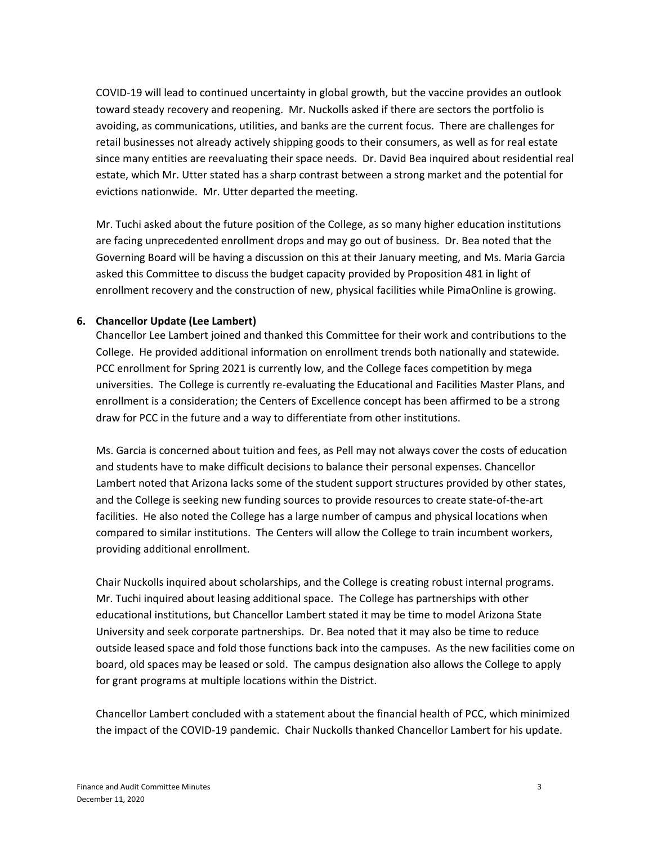COVID-19 will lead to continued uncertainty in global growth, but the vaccine provides an outlook toward steady recovery and reopening. Mr. Nuckolls asked if there are sectors the portfolio is avoiding, as communications, utilities, and banks are the current focus. There are challenges for retail businesses not already actively shipping goods to their consumers, as well as for real estate since many entities are reevaluating their space needs. Dr. David Bea inquired about residential real estate, which Mr. Utter stated has a sharp contrast between a strong market and the potential for evictions nationwide. Mr. Utter departed the meeting.

Mr. Tuchi asked about the future position of the College, as so many higher education institutions are facing unprecedented enrollment drops and may go out of business. Dr. Bea noted that the Governing Board will be having a discussion on this at their January meeting, and Ms. Maria Garcia asked this Committee to discuss the budget capacity provided by Proposition 481 in light of enrollment recovery and the construction of new, physical facilities while PimaOnline is growing.

# **6. Chancellor Update (Lee Lambert)**

Chancellor Lee Lambert joined and thanked this Committee for their work and contributions to the College. He provided additional information on enrollment trends both nationally and statewide. PCC enrollment for Spring 2021 is currently low, and the College faces competition by mega universities. The College is currently re-evaluating the Educational and Facilities Master Plans, and enrollment is a consideration; the Centers of Excellence concept has been affirmed to be a strong draw for PCC in the future and a way to differentiate from other institutions.

Ms. Garcia is concerned about tuition and fees, as Pell may not always cover the costs of education and students have to make difficult decisions to balance their personal expenses. Chancellor Lambert noted that Arizona lacks some of the student support structures provided by other states, and the College is seeking new funding sources to provide resources to create state-of-the-art facilities. He also noted the College has a large number of campus and physical locations when compared to similar institutions. The Centers will allow the College to train incumbent workers, providing additional enrollment.

Chair Nuckolls inquired about scholarships, and the College is creating robust internal programs. Mr. Tuchi inquired about leasing additional space. The College has partnerships with other educational institutions, but Chancellor Lambert stated it may be time to model Arizona State University and seek corporate partnerships. Dr. Bea noted that it may also be time to reduce outside leased space and fold those functions back into the campuses. As the new facilities come on board, old spaces may be leased or sold. The campus designation also allows the College to apply for grant programs at multiple locations within the District.

Chancellor Lambert concluded with a statement about the financial health of PCC, which minimized the impact of the COVID-19 pandemic. Chair Nuckolls thanked Chancellor Lambert for his update.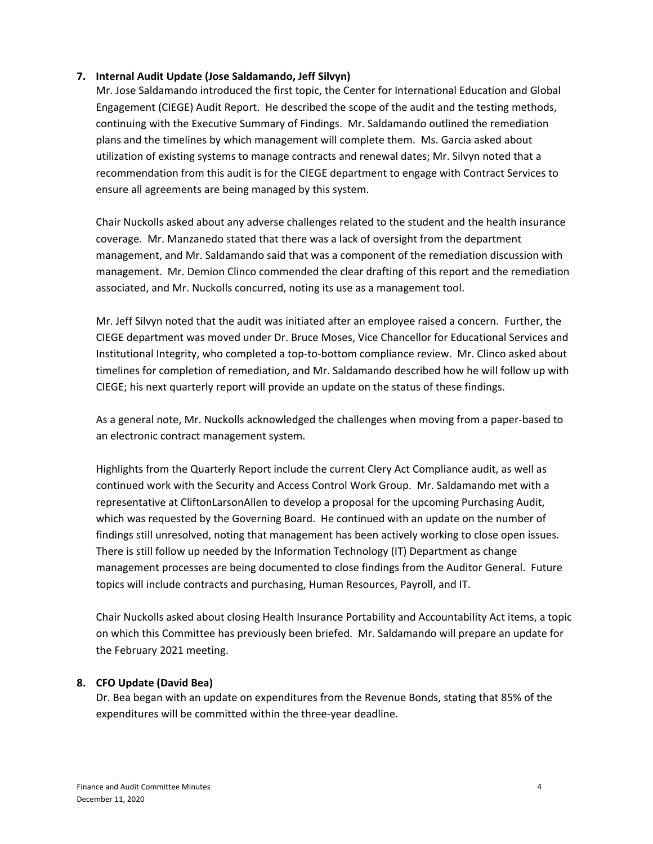# **7. Internal Audit Update (Jose Saldamando, Jeff Silvyn)**

Mr. Jose Saldamando introduced the first topic, the Center for International Education and Global Engagement (CIEGE) Audit Report. He described the scope of the audit and the testing methods, continuing with the Executive Summary of Findings. Mr. Saldamando outlined the remediation plans and the timelines by which management will complete them. Ms. Garcia asked about utilization of existing systems to manage contracts and renewal dates; Mr. Silvyn noted that a recommendation from this audit is for the CIEGE department to engage with Contract Services to ensure all agreements are being managed by this system.

Chair Nuckolls asked about any adverse challenges related to the student and the health insurance coverage. Mr. Manzanedo stated that there was a lack of oversight from the department management, and Mr. Saldamando said that was a component of the remediation discussion with management. Mr. Demion Clinco commended the clear drafting of this report and the remediation associated, and Mr. Nuckolls concurred, noting its use as a management tool.

Mr. Jeff Silvyn noted that the audit was initiated after an employee raised a concern. Further, the CIEGE department was moved under Dr. Bruce Moses, Vice Chancellor for Educational Services and Institutional Integrity, who completed a top-to-bottom compliance review. Mr. Clinco asked about timelines for completion of remediation, and Mr. Saldamando described how he will follow up with CIEGE; his next quarterly report will provide an update on the status of these findings.

As a general note, Mr. Nuckolls acknowledged the challenges when moving from a paper-based to an electronic contract management system.

Highlights from the Quarterly Report include the current Clery Act Compliance audit, as well as continued work with the Security and Access Control Work Group. Mr. Saldamando met with a representative at CliftonLarsonAllen to develop a proposal for the upcoming Purchasing Audit, which was requested by the Governing Board. He continued with an update on the number of findings still unresolved, noting that management has been actively working to close open issues. There is still follow up needed by the Information Technology (IT) Department as change management processes are being documented to close findings from the Auditor General. Future topics will include contracts and purchasing, Human Resources, Payroll, and IT.

Chair Nuckolls asked about closing Health Insurance Portability and Accountability Act items, a topic on which this Committee has previously been briefed. Mr. Saldamando will prepare an update for the February 2021 meeting.

# **8. CFO Update (David Bea)**

Dr. Bea began with an update on expenditures from the Revenue Bonds, stating that 85% of the expenditures will be committed within the three-year deadline.